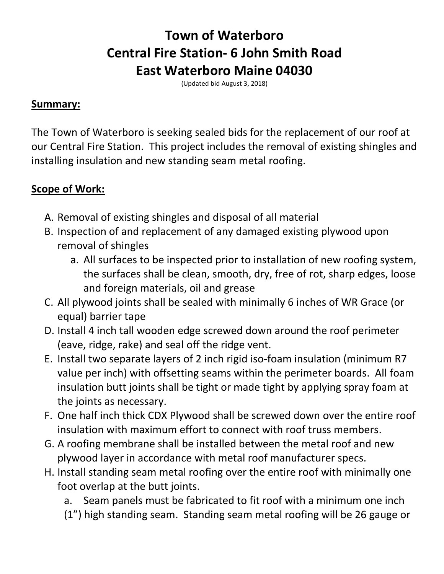## **Town of Waterboro Central Fire Station- 6 John Smith Road East Waterboro Maine 04030**

(Updated bid August 3, 2018)

## **Summary:**

The Town of Waterboro is seeking sealed bids for the replacement of our roof at our Central Fire Station. This project includes the removal of existing shingles and installing insulation and new standing seam metal roofing.

## **Scope of Work:**

- A. Removal of existing shingles and disposal of all material
- B. Inspection of and replacement of any damaged existing plywood upon removal of shingles
	- a. All surfaces to be inspected prior to installation of new roofing system, the surfaces shall be clean, smooth, dry, free of rot, sharp edges, loose and foreign materials, oil and grease
- C. All plywood joints shall be sealed with minimally 6 inches of WR Grace (or equal) barrier tape
- D. Install 4 inch tall wooden edge screwed down around the roof perimeter (eave, ridge, rake) and seal off the ridge vent.
- E. Install two separate layers of 2 inch rigid iso-foam insulation (minimum R7 value per inch) with offsetting seams within the perimeter boards. All foam insulation butt joints shall be tight or made tight by applying spray foam at the joints as necessary.
- F. One half inch thick CDX Plywood shall be screwed down over the entire roof insulation with maximum effort to connect with roof truss members.
- G. A roofing membrane shall be installed between the metal roof and new plywood layer in accordance with metal roof manufacturer specs.
- H. Install standing seam metal roofing over the entire roof with minimally one foot overlap at the butt joints.

a. Seam panels must be fabricated to fit roof with a minimum one inch (1") high standing seam. Standing seam metal roofing will be 26 gauge or